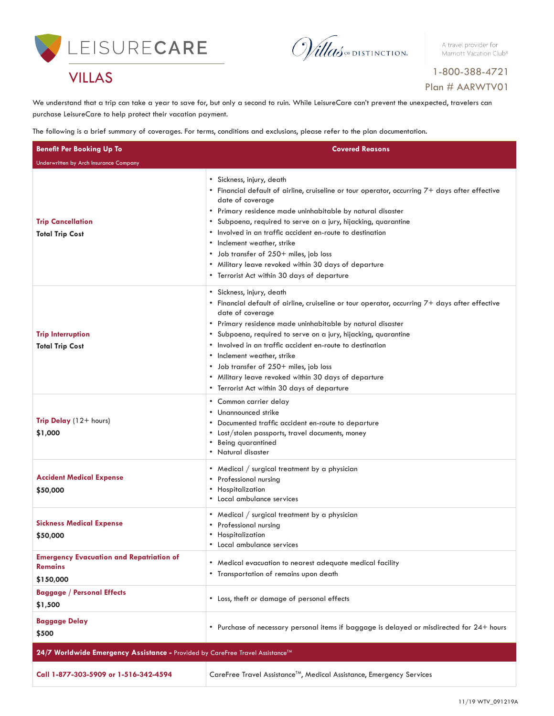



VILLAS 1-800-388-4721 Plan # AARWTV01

We understand that a trip can take a year to save for, but only a second to ruin. While LeisureCare can't prevent the unexpected, travelers can purchase LeisureCare to help protect their vacation payment.

The following is a brief summary of coverages. For terms, conditions and exclusions, please refer to the plan documentation.

| <b>Benefit Per Booking Up To</b>                                               | <b>Covered Reasons</b>                                                                                                                                                                                                                                                                                                                                                                                                                                                                                                       |  |  |  |  |
|--------------------------------------------------------------------------------|------------------------------------------------------------------------------------------------------------------------------------------------------------------------------------------------------------------------------------------------------------------------------------------------------------------------------------------------------------------------------------------------------------------------------------------------------------------------------------------------------------------------------|--|--|--|--|
| Underwritten by Arch Insurance Company                                         |                                                                                                                                                                                                                                                                                                                                                                                                                                                                                                                              |  |  |  |  |
| <b>Trip Cancellation</b><br><b>Total Trip Cost</b>                             | • Sickness, injury, death<br>. Financial default of airline, cruiseline or tour operator, occurring 7+ days after effective<br>date of coverage<br>· Primary residence made uninhabitable by natural disaster<br>· Subpoena, required to serve on a jury, hijacking, quarantine<br>Involved in an traffic accident en-route to destination<br>Inclement weather, strike<br>• Job transfer of 250+ miles, job loss<br>. Military leave revoked within 30 days of departure<br>• Terrorist Act within 30 days of departure     |  |  |  |  |
| <b>Trip Interruption</b><br><b>Total Trip Cost</b>                             | • Sickness, injury, death<br>• Financial default of airline, cruiseline or tour operator, occurring 7+ days after effective<br>date of coverage<br>• Primary residence made uninhabitable by natural disaster<br>• Subpoena, required to serve on a jury, hijacking, quarantine<br>• Involved in an traffic accident en-route to destination<br>• Inclement weather, strike<br>• Job transfer of 250+ miles, job loss<br>. Military leave revoked within 30 days of departure<br>• Terrorist Act within 30 days of departure |  |  |  |  |
| <b>Trip Delay</b> $(12 + \text{hours})$<br>\$1,000                             | • Common carrier delay<br>Unannounced strike<br>• Documented traffic accident en-route to departure<br>• Lost/stolen passports, travel documents, money<br>• Being quarantined<br>• Natural disaster                                                                                                                                                                                                                                                                                                                         |  |  |  |  |
| <b>Accident Medical Expense</b><br>\$50,000                                    | • Medical / surgical treatment by a physician<br>• Professional nursing<br>• Hospitalization<br>• Local ambulance services                                                                                                                                                                                                                                                                                                                                                                                                   |  |  |  |  |
| <b>Sickness Medical Expense</b><br>\$50,000                                    | • Medical / surgical treatment by a physician<br>• Professional nursing<br>• Hospitalization<br>• Local ambulance services                                                                                                                                                                                                                                                                                                                                                                                                   |  |  |  |  |
| <b>Emergency Evacuation and Repatriation of</b><br><b>Remains</b><br>\$150,000 | • Medical evacuation to nearest adequate medical facility<br>• Transportation of remains upon death                                                                                                                                                                                                                                                                                                                                                                                                                          |  |  |  |  |
| <b>Baggage / Personal Effects</b><br>\$1,500                                   | • Loss, theft or damage of personal effects                                                                                                                                                                                                                                                                                                                                                                                                                                                                                  |  |  |  |  |
| <b>Baggage Delay</b><br>\$500                                                  | • Purchase of necessary personal items if baggage is delayed or misdirected for 24+ hours                                                                                                                                                                                                                                                                                                                                                                                                                                    |  |  |  |  |
| 24/7 Worldwide Emergency Assistance - Provided by CareFree Travel Assistance™  |                                                                                                                                                                                                                                                                                                                                                                                                                                                                                                                              |  |  |  |  |
| Call 1-877-303-5909 or 1-516-342-4594                                          | CareFree Travel Assistance™, Medical Assistance, Emergency Services                                                                                                                                                                                                                                                                                                                                                                                                                                                          |  |  |  |  |